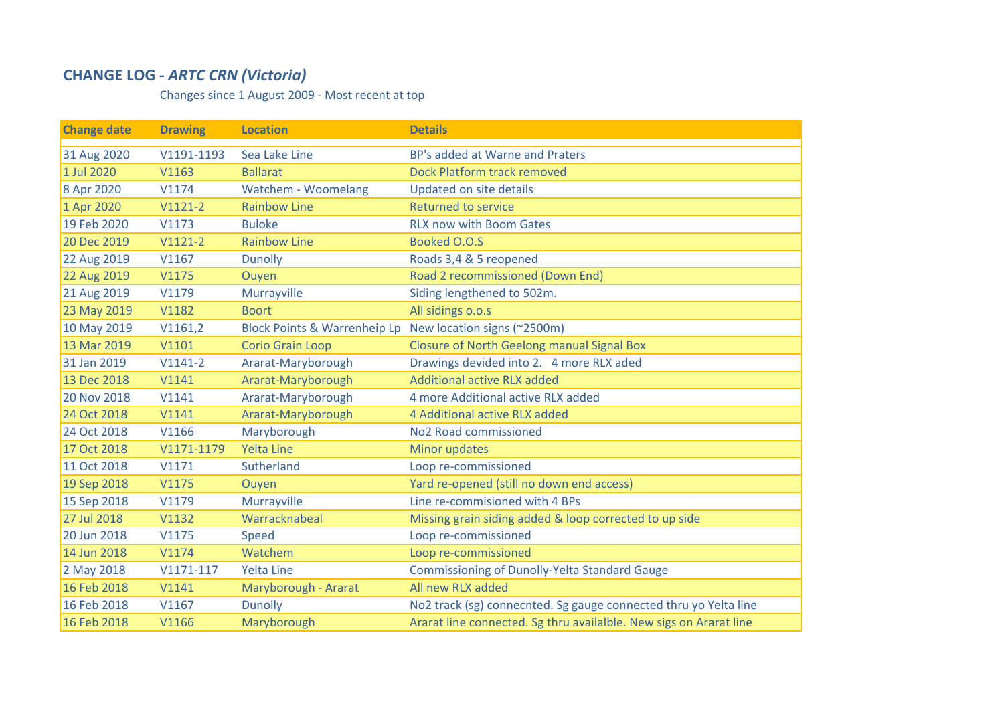## **CHANGE LOG ‐** *ARTC CRN (Victoria)*

Changes since 1 August 2009 ‐ Most recent at top

| <b>Change date</b> | <b>Drawing</b> | <b>Location</b>                         | <b>Details</b>                                                     |
|--------------------|----------------|-----------------------------------------|--------------------------------------------------------------------|
| 31 Aug 2020        | V1191-1193     | Sea Lake Line                           | BP's added at Warne and Praters                                    |
| 1 Jul 2020         | V1163          | <b>Ballarat</b>                         | Dock Platform track removed                                        |
| 8 Apr 2020         | V1174          | Watchem - Woomelang                     | <b>Updated on site details</b>                                     |
| 1 Apr 2020         | $V1121-2$      | <b>Rainbow Line</b>                     | <b>Returned to service</b>                                         |
| 19 Feb 2020        | V1173          | <b>Buloke</b>                           | <b>RLX now with Boom Gates</b>                                     |
| 20 Dec 2019        | $V1121-2$      | <b>Rainbow Line</b>                     | Booked O.O.S                                                       |
| 22 Aug 2019        | V1167          | <b>Dunolly</b>                          | Roads 3,4 & 5 reopened                                             |
| 22 Aug 2019        | V1175          | Ouyen                                   | Road 2 recommissioned (Down End)                                   |
| 21 Aug 2019        | V1179          | Murrayville                             | Siding lengthened to 502m.                                         |
| 23 May 2019        | V1182          | <b>Boort</b>                            | All sidings o.o.s                                                  |
| 10 May 2019        | V1161,2        | <b>Block Points &amp; Warrenheip Lp</b> | New location signs (~2500m)                                        |
| 13 Mar 2019        | V1101          | <b>Corio Grain Loop</b>                 | <b>Closure of North Geelong manual Signal Box</b>                  |
| 31 Jan 2019        | $V1141-2$      | Ararat-Maryborough                      | Drawings devided into 2. 4 more RLX aded                           |
| 13 Dec 2018        | V1141          | Ararat-Maryborough                      | <b>Additional active RLX added</b>                                 |
| 20 Nov 2018        | V1141          | Ararat-Maryborough                      | 4 more Additional active RLX added                                 |
| 24 Oct 2018        | V1141          | Ararat-Maryborough                      | 4 Additional active RLX added                                      |
| 24 Oct 2018        | V1166          | Maryborough                             | No <sub>2</sub> Road commissioned                                  |
| 17 Oct 2018        | V1171-1179     | <b>Yelta Line</b>                       | Minor updates                                                      |
| 11 Oct 2018        | V1171          | Sutherland                              | Loop re-commissioned                                               |
| 19 Sep 2018        | V1175          | Ouyen                                   | Yard re-opened (still no down end access)                          |
| 15 Sep 2018        | V1179          | Murrayville                             | Line re-commisioned with 4 BPs                                     |
| 27 Jul 2018        | V1132          | Warracknabeal                           | Missing grain siding added & loop corrected to up side             |
| 20 Jun 2018        | V1175          | Speed                                   | Loop re-commissioned                                               |
| 14 Jun 2018        | V1174          | Watchem                                 | Loop re-commissioned                                               |
| 2 May 2018         | $V1171-117$    | <b>Yelta Line</b>                       | <b>Commissioning of Dunolly-Yelta Standard Gauge</b>               |
| 16 Feb 2018        | V1141          | Maryborough - Ararat                    | All new RLX added                                                  |
| 16 Feb 2018        | V1167          | <b>Dunolly</b>                          | No2 track (sg) connecnted. Sg gauge connected thru yo Yelta line   |
| 16 Feb 2018        | V1166          | Maryborough                             | Ararat line connected. Sg thru availalble. New sigs on Ararat line |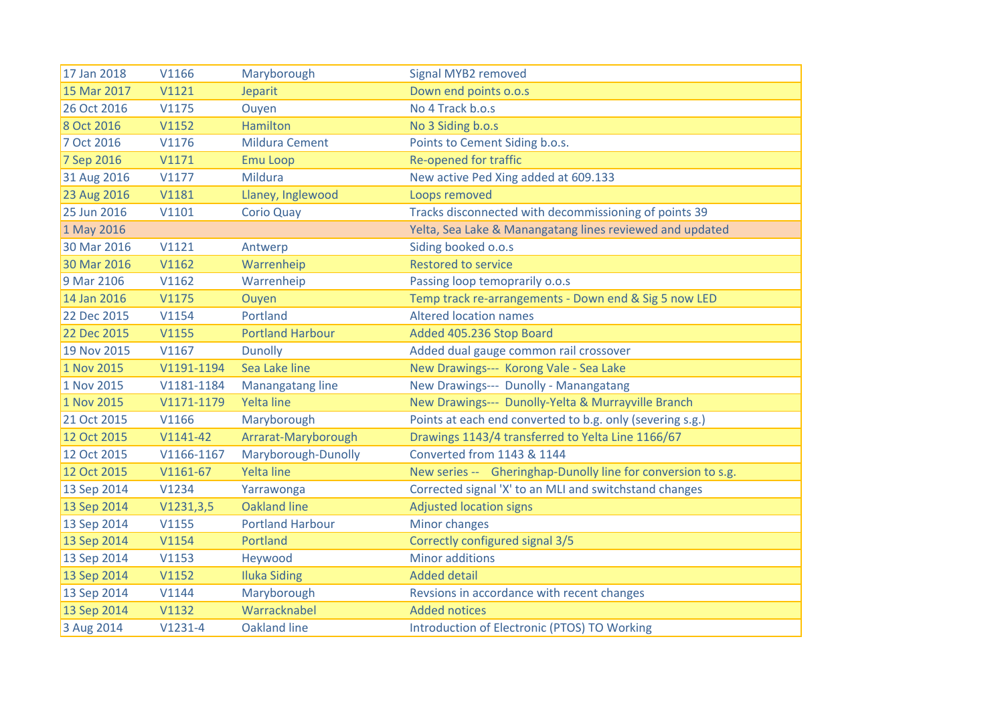| 17 Jan 2018 | V1166        | Maryborough             | Signal MYB2 removed                                          |
|-------------|--------------|-------------------------|--------------------------------------------------------------|
| 15 Mar 2017 | V1121        | Jeparit                 | Down end points o.o.s                                        |
| 26 Oct 2016 | V1175        | Ouyen                   | No 4 Track b.o.s                                             |
| 8 Oct 2016  | V1152        | <b>Hamilton</b>         | No 3 Siding b.o.s                                            |
| 7 Oct 2016  | V1176        | <b>Mildura Cement</b>   | Points to Cement Siding b.o.s.                               |
| 7 Sep 2016  | V1171        | <b>Emu Loop</b>         | <b>Re-opened for traffic</b>                                 |
| 31 Aug 2016 | V1177        | Mildura                 | New active Ped Xing added at 609.133                         |
| 23 Aug 2016 | <b>V1181</b> | Llaney, Inglewood       | Loops removed                                                |
| 25 Jun 2016 | V1101        | <b>Corio Quay</b>       | Tracks disconnected with decommissioning of points 39        |
| 1 May 2016  |              |                         | Yelta, Sea Lake & Manangatang lines reviewed and updated     |
| 30 Mar 2016 | V1121        | Antwerp                 | Siding booked o.o.s                                          |
| 30 Mar 2016 | V1162        | Warrenheip              | <b>Restored to service</b>                                   |
| 9 Mar 2106  | V1162        | Warrenheip              | Passing loop temoprarily o.o.s                               |
| 14 Jan 2016 | V1175        | Ouyen                   | Temp track re-arrangements - Down end & Sig 5 now LED        |
| 22 Dec 2015 | V1154        | Portland                | <b>Altered location names</b>                                |
| 22 Dec 2015 | V1155        | <b>Portland Harbour</b> | Added 405.236 Stop Board                                     |
| 19 Nov 2015 | V1167        | <b>Dunolly</b>          | Added dual gauge common rail crossover                       |
| 1 Nov 2015  | V1191-1194   | Sea Lake line           | New Drawings--- Korong Vale - Sea Lake                       |
| 1 Nov 2015  | V1181-1184   | Manangatang line        | New Drawings--- Dunolly - Manangatang                        |
| 1 Nov 2015  | V1171-1179   | <b>Yelta line</b>       | New Drawings--- Dunolly-Yelta & Murrayville Branch           |
| 21 Oct 2015 | V1166        | Maryborough             | Points at each end converted to b.g. only (severing s.g.)    |
| 12 Oct 2015 | $V1141-42$   | Arrarat-Maryborough     | Drawings 1143/4 transferred to Yelta Line 1166/67            |
| 12 Oct 2015 | V1166-1167   | Maryborough-Dunolly     | Converted from 1143 & 1144                                   |
| 12 Oct 2015 | $V1161-67$   | <b>Yelta line</b>       | New series -- Gheringhap-Dunolly line for conversion to s.g. |
| 13 Sep 2014 | V1234        | Yarrawonga              | Corrected signal 'X' to an MLI and switchstand changes       |
| 13 Sep 2014 | V1231,3,5    | <b>Oakland line</b>     | <b>Adjusted location signs</b>                               |
| 13 Sep 2014 | V1155        | <b>Portland Harbour</b> | Minor changes                                                |
| 13 Sep 2014 | V1154        | Portland                | Correctly configured signal 3/5                              |
| 13 Sep 2014 | V1153        | Heywood                 | <b>Minor additions</b>                                       |
| 13 Sep 2014 | V1152        | <b>Iluka Siding</b>     | <b>Added detail</b>                                          |
| 13 Sep 2014 | V1144        | Maryborough             | Revsions in accordance with recent changes                   |
| 13 Sep 2014 | V1132        | Warracknabel            | <b>Added notices</b>                                         |
| 3 Aug 2014  | $V1231-4$    | <b>Oakland line</b>     | Introduction of Electronic (PTOS) TO Working                 |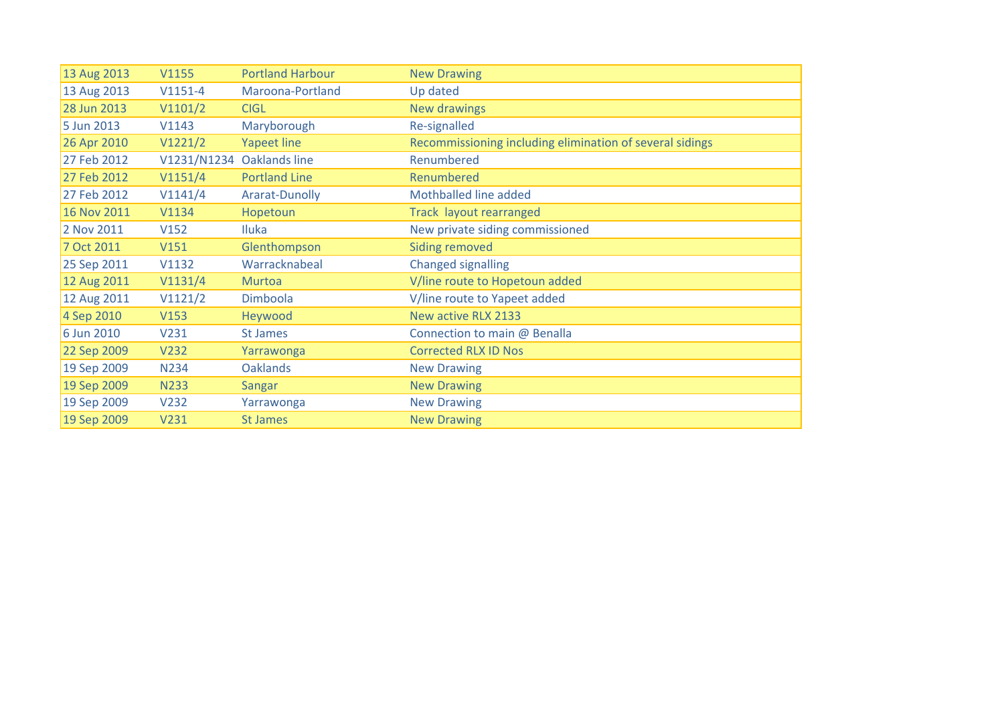| 13 Aug 2013 | V1155       | <b>Portland Harbour</b>   | <b>New Drawing</b>                                       |
|-------------|-------------|---------------------------|----------------------------------------------------------|
| 13 Aug 2013 | $V1151-4$   | Maroona-Portland          | Up dated                                                 |
| 28 Jun 2013 | V1101/2     | <b>CIGL</b>               | <b>New drawings</b>                                      |
| 5 Jun 2013  | V1143       | Maryborough               | Re-signalled                                             |
| 26 Apr 2010 | V1221/2     | <b>Yapeet line</b>        | Recommissioning including elimination of several sidings |
| 27 Feb 2012 |             | V1231/N1234 Oaklands line | Renumbered                                               |
| 27 Feb 2012 | V1151/4     | <b>Portland Line</b>      | Renumbered                                               |
| 27 Feb 2012 | V1141/4     | Ararat-Dunolly            | Mothballed line added                                    |
| 16 Nov 2011 | V1134       | Hopetoun                  | Track layout rearranged                                  |
| 2 Nov 2011  | V152        | <b>Iluka</b>              | New private siding commissioned                          |
| 7 Oct 2011  | V151        | Glenthompson              | Siding removed                                           |
| 25 Sep 2011 | V1132       | Warracknabeal             | <b>Changed signalling</b>                                |
| 12 Aug 2011 | V1131/4     | <b>Murtoa</b>             | V/line route to Hopetoun added                           |
| 12 Aug 2011 | V1121/2     | Dimboola                  | V/line route to Yapeet added                             |
| 4 Sep 2010  | V153        | Heywood                   | New active RLX 2133                                      |
| 6 Jun 2010  | V231        | St James                  | Connection to main @ Benalla                             |
| 22 Sep 2009 | V232        | Yarrawonga                | <b>Corrected RLX ID Nos</b>                              |
| 19 Sep 2009 | <b>N234</b> | <b>Oaklands</b>           | <b>New Drawing</b>                                       |
| 19 Sep 2009 | <b>N233</b> | <b>Sangar</b>             | <b>New Drawing</b>                                       |
| 19 Sep 2009 | V232        | Yarrawonga                | <b>New Drawing</b>                                       |
| 19 Sep 2009 | V231        | <b>St James</b>           | <b>New Drawing</b>                                       |